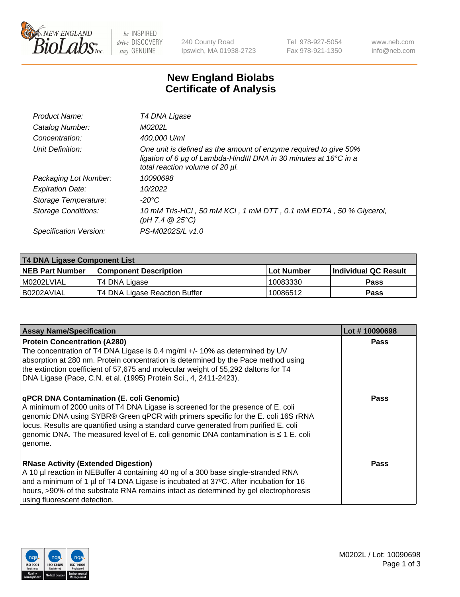

 $be$  INSPIRED drive DISCOVERY stay GENUINE

240 County Road Ipswich, MA 01938-2723 Tel 978-927-5054 Fax 978-921-1350 www.neb.com info@neb.com

## **New England Biolabs Certificate of Analysis**

| Product Name:              | T4 DNA Ligase                                                                                                                                                            |
|----------------------------|--------------------------------------------------------------------------------------------------------------------------------------------------------------------------|
| Catalog Number:            | M0202L                                                                                                                                                                   |
| Concentration:             | 400,000 U/ml                                                                                                                                                             |
| Unit Definition:           | One unit is defined as the amount of enzyme required to give 50%<br>ligation of 6 µg of Lambda-HindIII DNA in 30 minutes at 16°C in a<br>total reaction volume of 20 µl. |
| Packaging Lot Number:      | 10090698                                                                                                                                                                 |
| <b>Expiration Date:</b>    | 10/2022                                                                                                                                                                  |
| Storage Temperature:       | $-20^{\circ}$ C                                                                                                                                                          |
| <b>Storage Conditions:</b> | 10 mM Tris-HCl, 50 mM KCl, 1 mM DTT, 0.1 mM EDTA, 50 % Glycerol,<br>(pH 7.4 $@25°C$ )                                                                                    |
| Specification Version:     | PS-M0202S/L v1.0                                                                                                                                                         |

| <b>T4 DNA Ligase Component List</b> |                               |            |                             |  |  |
|-------------------------------------|-------------------------------|------------|-----------------------------|--|--|
| <b>NEB Part Number</b>              | <b>Component Description</b>  | Lot Number | <b>Individual QC Result</b> |  |  |
| I M0202LVIAL                        | T4 DNA Ligase                 | 10083330   | <b>Pass</b>                 |  |  |
| I B0202AVIAL                        | T4 DNA Ligase Reaction Buffer | 10086512   | <b>Pass</b>                 |  |  |

| <b>Assay Name/Specification</b>                                                                                                                                                                                                                                                                                                                                                                             | Lot #10090698 |
|-------------------------------------------------------------------------------------------------------------------------------------------------------------------------------------------------------------------------------------------------------------------------------------------------------------------------------------------------------------------------------------------------------------|---------------|
| <b>Protein Concentration (A280)</b><br>The concentration of T4 DNA Ligase is 0.4 mg/ml +/- 10% as determined by UV<br>absorption at 280 nm. Protein concentration is determined by the Pace method using<br>the extinction coefficient of 57,675 and molecular weight of 55,292 daltons for T4<br>DNA Ligase (Pace, C.N. et al. (1995) Protein Sci., 4, 2411-2423).                                         | <b>Pass</b>   |
| qPCR DNA Contamination (E. coli Genomic)<br>A minimum of 2000 units of T4 DNA Ligase is screened for the presence of E. coli<br>genomic DNA using SYBR® Green qPCR with primers specific for the E. coli 16S rRNA<br>locus. Results are quantified using a standard curve generated from purified E. coli<br>genomic DNA. The measured level of E. coli genomic DNA contamination is ≤ 1 E. coli<br>genome. | Pass          |
| <b>RNase Activity (Extended Digestion)</b><br>A 10 µl reaction in NEBuffer 4 containing 40 ng of a 300 base single-stranded RNA<br>and a minimum of 1 µl of T4 DNA Ligase is incubated at 37°C. After incubation for 16<br>hours, >90% of the substrate RNA remains intact as determined by gel electrophoresis<br>using fluorescent detection.                                                             | Pass          |

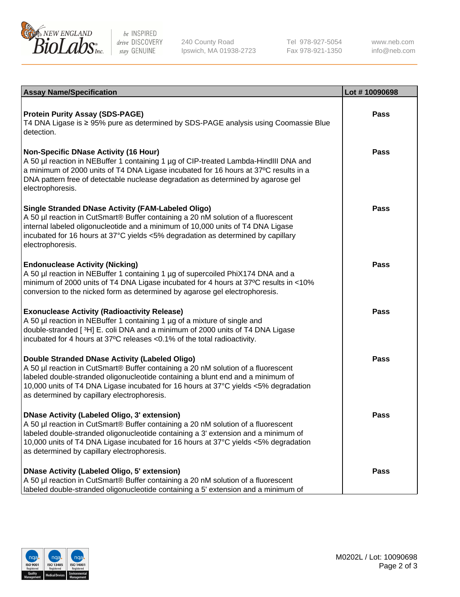

be INSPIRED drive DISCOVERY stay GENUINE

240 County Road Ipswich, MA 01938-2723 Tel 978-927-5054 Fax 978-921-1350

www.neb.com info@neb.com

| <b>Assay Name/Specification</b>                                                                                                                                                                                                                                                                                                                               | Lot #10090698 |
|---------------------------------------------------------------------------------------------------------------------------------------------------------------------------------------------------------------------------------------------------------------------------------------------------------------------------------------------------------------|---------------|
| <b>Protein Purity Assay (SDS-PAGE)</b><br>T4 DNA Ligase is ≥ 95% pure as determined by SDS-PAGE analysis using Coomassie Blue<br>detection.                                                                                                                                                                                                                   | <b>Pass</b>   |
| <b>Non-Specific DNase Activity (16 Hour)</b><br>A 50 µl reaction in NEBuffer 1 containing 1 µg of CIP-treated Lambda-HindIII DNA and<br>a minimum of 2000 units of T4 DNA Ligase incubated for 16 hours at 37°C results in a<br>DNA pattern free of detectable nuclease degradation as determined by agarose gel<br>electrophoresis.                          | <b>Pass</b>   |
| <b>Single Stranded DNase Activity (FAM-Labeled Oligo)</b><br>A 50 µl reaction in CutSmart® Buffer containing a 20 nM solution of a fluorescent<br>internal labeled oligonucleotide and a minimum of 10,000 units of T4 DNA Ligase<br>incubated for 16 hours at 37°C yields <5% degradation as determined by capillary<br>electrophoresis.                     | Pass          |
| <b>Endonuclease Activity (Nicking)</b><br>A 50 µl reaction in NEBuffer 1 containing 1 µg of supercoiled PhiX174 DNA and a<br>minimum of 2000 units of T4 DNA Ligase incubated for 4 hours at 37°C results in <10%<br>conversion to the nicked form as determined by agarose gel electrophoresis.                                                              | Pass          |
| <b>Exonuclease Activity (Radioactivity Release)</b><br>A 50 µl reaction in NEBuffer 1 containing 1 µg of a mixture of single and<br>double-stranded [3H] E. coli DNA and a minimum of 2000 units of T4 DNA Ligase<br>incubated for 4 hours at 37°C releases <0.1% of the total radioactivity.                                                                 | Pass          |
| Double Stranded DNase Activity (Labeled Oligo)<br>A 50 µl reaction in CutSmart® Buffer containing a 20 nM solution of a fluorescent<br>labeled double-stranded oligonucleotide containing a blunt end and a minimum of<br>10,000 units of T4 DNA Ligase incubated for 16 hours at 37°C yields <5% degradation<br>as determined by capillary electrophoresis.  | <b>Pass</b>   |
| DNase Activity (Labeled Oligo, 3' extension)<br>A 50 µl reaction in CutSmart® Buffer containing a 20 nM solution of a fluorescent<br>labeled double-stranded oligonucleotide containing a 3' extension and a minimum of<br>10,000 units of T4 DNA Ligase incubated for 16 hours at 37°C yields <5% degradation<br>as determined by capillary electrophoresis. | <b>Pass</b>   |
| DNase Activity (Labeled Oligo, 5' extension)<br>A 50 µl reaction in CutSmart® Buffer containing a 20 nM solution of a fluorescent<br>Iabeled double-stranded oligonucleotide containing a 5' extension and a minimum of                                                                                                                                       | <b>Pass</b>   |